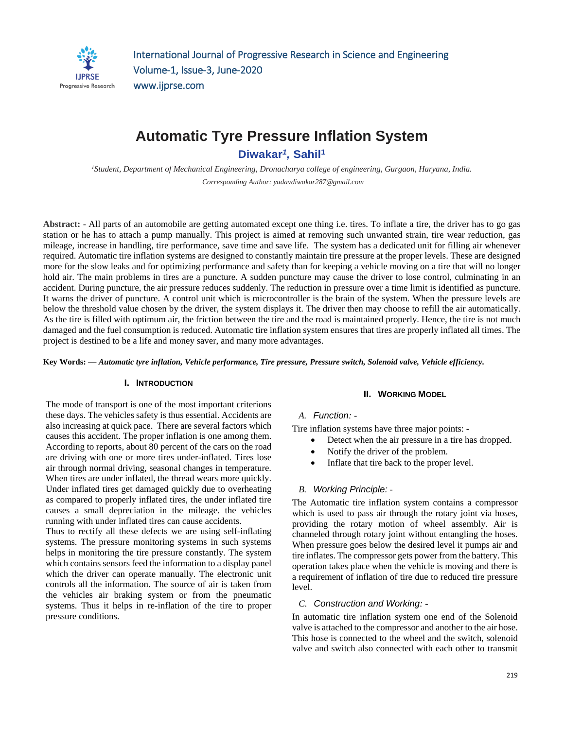

# **Automatic Tyre Pressure Inflation System Diwakar***<sup>1</sup> ,* **Sahil<sup>1</sup>**

*<sup>1</sup>Student, Department of Mechanical Engineering, Dronacharya college of engineering, Gurgaon, Haryana, India. Corresponding Author: yadavdiwakar287@gmail.com*

**Abstract: -** All parts of an automobile are getting automated except one thing i.e. tires. To inflate a tire, the driver has to go gas station or he has to attach a pump manually. This project is aimed at removing such unwanted strain, tire wear reduction, gas mileage, increase in handling, tire performance, save time and save life. The system has a dedicated unit for filling air whenever required. Automatic tire inflation systems are designed to constantly maintain tire pressure at the proper levels. These are designed more for the slow leaks and for optimizing performance and safety than for keeping a vehicle moving on a tire that will no longer hold air. The main problems in tires are a puncture. A sudden puncture may cause the driver to lose control, culminating in an accident. During puncture, the air pressure reduces suddenly. The reduction in pressure over a time limit is identified as puncture. It warns the driver of puncture. A control unit which is microcontroller is the brain of the system. When the pressure levels are below the threshold value chosen by the driver, the system displays it. The driver then may choose to refill the air automatically. As the tire is filled with optimum air, the friction between the tire and the road is maintained properly. Hence, the tire is not much damaged and the fuel consumption is reduced. Automatic tire inflation system ensures that tires are properly inflated all times. The project is destined to be a life and money saver, and many more advantages.

**Key Words: —** *Automatic tyre inflation, Vehicle performance, Tire pressure, Pressure switch, Solenoid valve, Vehicle efficiency.*

### **I. INTRODUCTION**

The mode of transport is one of the most important criterions these days. The vehicles safety is thus essential. Accidents are also increasing at quick pace. There are several factors which causes this accident. The proper inflation is one among them. According to reports, about 80 percent of the cars on the road are driving with one or more tires under-inflated. Tires lose air through normal driving, seasonal changes in temperature. When tires are under inflated, the thread wears more quickly. Under inflated tires get damaged quickly due to overheating as compared to properly inflated tires, the under inflated tire causes a small depreciation in the mileage. the vehicles running with under inflated tires can cause accidents.

Thus to rectify all these defects we are using self-inflating systems. The pressure monitoring systems in such systems helps in monitoring the tire pressure constantly. The system which contains sensors feed the information to a display panel which the driver can operate manually. The electronic unit controls all the information. The source of air is taken from the vehicles air braking system or from the pneumatic systems. Thus it helps in re-inflation of the tire to proper pressure conditions.

### **II. WORKING MODEL**

### *A. Function: -*

Tire inflation systems have three major points: -

- Detect when the air pressure in a tire has dropped.
- Notify the driver of the problem.
- Inflate that tire back to the proper level.

### *B. Working Principle: -*

The Automatic tire inflation system contains a compressor which is used to pass air through the rotary joint via hoses, providing the rotary motion of wheel assembly. Air is channeled through rotary joint without entangling the hoses. When pressure goes below the desired level it pumps air and tire inflates. The compressor gets power from the battery. This operation takes place when the vehicle is moving and there is a requirement of inflation of tire due to reduced tire pressure level.

### *C. Construction and Working: -*

In automatic tire inflation system one end of the Solenoid valve is attached to the compressor and another to the air hose. This hose is connected to the wheel and the switch, solenoid valve and switch also connected with each other to transmit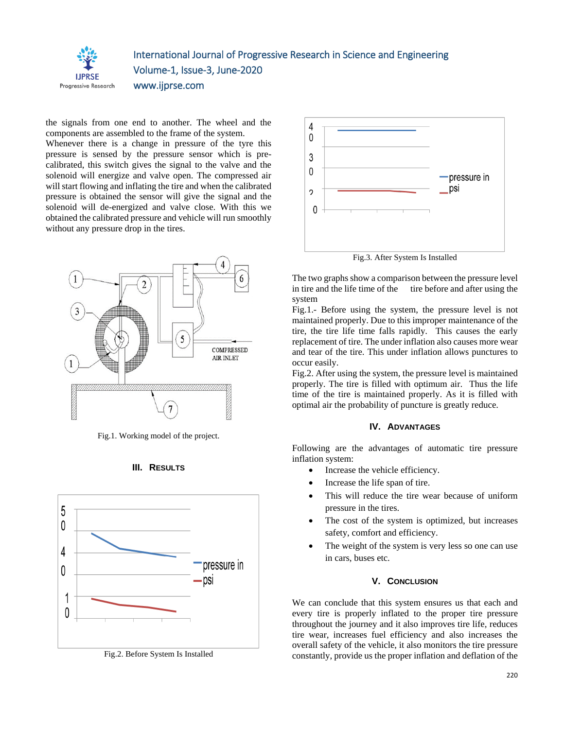

## International Journal of Progressive Research in Science and Engineering Volume-1, Issue-3, June-2020 www.ijprse.com

the signals from one end to another. The wheel and the components are assembled to the frame of the system.

Whenever there is a change in pressure of the tyre this pressure is sensed by the pressure sensor which is precalibrated, this switch gives the signal to the valve and the solenoid will energize and valve open. The compressed air will start flowing and inflating the tire and when the calibrated pressure is obtained the sensor will give the signal and the solenoid will de-energized and valve close. With this we obtained the calibrated pressure and vehicle will run smoothly without any pressure drop in the tires.



Fig.1. Working model of the project.





Fig.2. Before System Is Installed



Fig.3. After System Is Installed

The two graphs show a comparison between the pressure level in tire and the life time of the tire before and after using the system

Fig.1.- Before using the system, the pressure level is not maintained properly. Due to this improper maintenance of the tire, the tire life time falls rapidly. This causes the early replacement of tire. The under inflation also causes more wear and tear of the tire. This under inflation allows punctures to occur easily.

Fig.2. After using the system, the pressure level is maintained properly. The tire is filled with optimum air. Thus the life time of the tire is maintained properly. As it is filled with optimal air the probability of puncture is greatly reduce.

### **IV. ADVANTAGES**

Following are the advantages of automatic tire pressure inflation system:

- Increase the vehicle efficiency.
- Increase the life span of tire.
- This will reduce the tire wear because of uniform pressure in the tires.
- The cost of the system is optimized, but increases safety, comfort and efficiency.
- The weight of the system is very less so one can use in cars, buses etc.

#### **V. CONCLUSION**

We can conclude that this system ensures us that each and every tire is properly inflated to the proper tire pressure throughout the journey and it also improves tire life, reduces tire wear, increases fuel efficiency and also increases the overall safety of the vehicle, it also monitors the tire pressure constantly, provide us the proper inflation and deflation of the